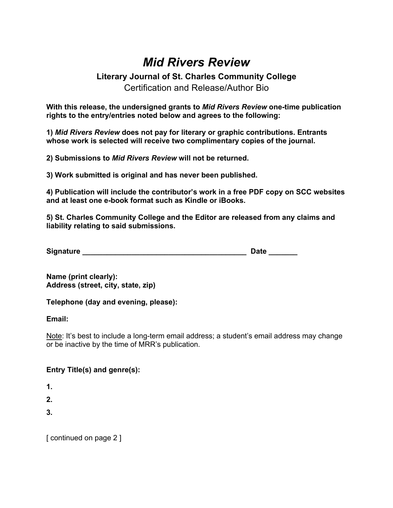## *Mid Rivers Review*

## **Literary Journal of St. Charles Community College** Certification and Release/Author Bio

**With this release, the undersigned grants to** *Mid Rivers Review* **one-time publication rights to the entry/entries noted below and agrees to the following:** 

**1)** *Mid Rivers Review* **does not pay for literary or graphic contributions. Entrants whose work is selected will receive two complimentary copies of the journal.** 

**2) Submissions to** *Mid Rivers Review* **will not be returned.** 

**3) Work submitted is original and has never been published.** 

**4) Publication will include the contributor's work in a free PDF copy on SCC websites and at least one e-book format such as Kindle or iBooks.** 

**5) St. Charles Community College and the Editor are released from any claims and liability relating to said submissions.** 

| <b>Signature</b> |  |
|------------------|--|
|                  |  |

**Name (print clearly): Address (street, city, state, zip)** 

**Telephone (day and evening, please):** 

**Email:** 

Note: It's best to include a long-term email address; a student's email address may change or be inactive by the time of MRR's publication.

## **Entry Title(s) and genre(s):**

**1.** 

**2.** 

**3.** 

[ continued on page 2 ]